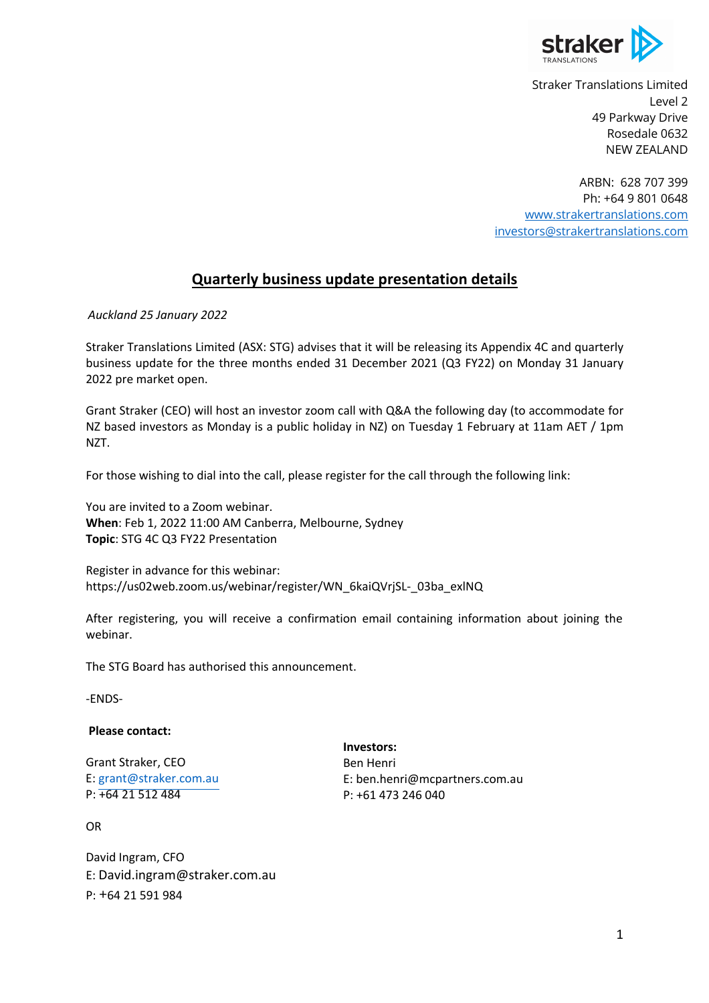

Straker Translations Limited Level 2 49 Parkway Drive Rosedale 0632 NEW ZEALAND

ARBN: 628 707 399 Ph: +64 9 801 0648 www.strakertranslations.com investors@strakertranslations.com

## **Quarterly business update presentation details**

*Auckland 25 January 2022* 

Straker Translations Limited (ASX: STG) advises that it will be releasing its Appendix 4C and quarterly business update for the three months ended 31 December 2021 (Q3 FY22) on Monday 31 January 2022 pre market open.

Grant Straker (CEO) will host an investor zoom call with Q&A the following day (to accommodate for NZ based investors as Monday is a public holiday in NZ) on Tuesday 1 February at 11am AET / 1pm NZT.

For those wishing to dial into the call, please register for the call through the following link:

You are invited to a Zoom webinar. **When**: Feb 1, 2022 11:00 AM Canberra, Melbourne, Sydney **Topic**: STG 4C Q3 FY22 Presentation

Register in advance for this webinar: https://us02web.zoom.us/webinar/register/WN\_6kaiQVrjSL-\_03ba\_exlNQ

After registering, you will receive a confirmation email containing information about joining the webinar.

The STG Board has authorised this announcement.

-ENDS-

## **Please contact:**

Grant Straker, CEO E: grant@straker.com.au P: +64 21 512 484

**Investors:** Ben Henri E: ben.henri@mcpartners.com.au P: +61 473 246 040

OR

David Ingram, CFO E: David.ingram@straker.com.au P: +64 21 591 984